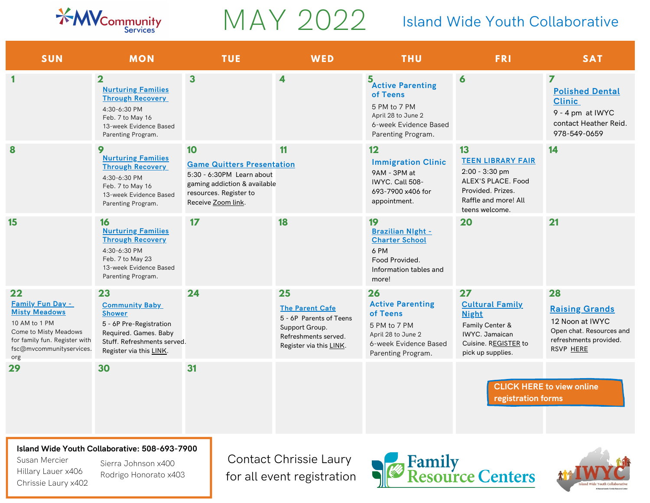

Chrissie Laury x402

## MAY 2022

## Island Wide Youth Collaborative

and Wide Youth Collaborative

| <b>SUN</b>                                                                                                                                                          | <b>MON</b>                                                                                                                                                 | <b>TUE</b>                                                                                                                                           | WED                                                                                                                          | <b>THU</b>                                                                                                                     | <b>FRI</b>                                                                                                                            | <b>SAT</b>                                                                                                             |
|---------------------------------------------------------------------------------------------------------------------------------------------------------------------|------------------------------------------------------------------------------------------------------------------------------------------------------------|------------------------------------------------------------------------------------------------------------------------------------------------------|------------------------------------------------------------------------------------------------------------------------------|--------------------------------------------------------------------------------------------------------------------------------|---------------------------------------------------------------------------------------------------------------------------------------|------------------------------------------------------------------------------------------------------------------------|
|                                                                                                                                                                     | $\overline{2}$<br><b>Nurturing Families</b><br><b>Through Recovery</b><br>4:30-6:30 PM<br>Feb. 7 to May 16<br>13-week Evidence Based<br>Parenting Program. | $\overline{\mathbf{3}}$                                                                                                                              | 4                                                                                                                            | 5<br>Active Parenting<br>of Teens<br>5 PM to 7 PM<br>April 28 to June 2<br>6-week Evidence Based<br>Parenting Program.         | 6                                                                                                                                     | $\overline{ }$<br><b>Polished Dental</b><br><b>Clinic</b><br>9 - 4 pm at IWYC<br>contact Heather Reid.<br>978-549-0659 |
| 8                                                                                                                                                                   | 9<br><b>Nurturing Families</b><br><b>Through Recovery</b><br>4:30-6:30 PM<br>Feb. 7 to May 16<br>13-week Evidence Based<br>Parenting Program.              | 10<br><b>Game Quitters Presentation</b><br>5:30 - 6:30PM Learn about<br>gaming addiction & available<br>resources. Register to<br>Receive Zoom link. | 11                                                                                                                           | 12<br><b>Immigration Clinic</b><br>9AM - 3PM at<br>IWYC. Call 508-<br>693-7900 x406 for<br>appointment.                        | 13<br><b>TEEN LIBRARY FAIR</b><br>2:00 - 3:30 pm<br>ALEX'S PLACE. Food<br>Provided, Prizes.<br>Raffle and more! All<br>teens welcome. | 14                                                                                                                     |
| 15                                                                                                                                                                  | 16<br><b>Nurturing Families</b><br><b>Through Recovery</b><br>4:30-6:30 PM<br>Feb. 7 to May 23<br>13-week Evidence Based<br>Parenting Program.             | 17                                                                                                                                                   | 18                                                                                                                           | 19<br><b>Brazilian Night -</b><br><b>Charter School</b><br>6 PM<br>Food Provided.<br>Information tables and<br>more!           | 20                                                                                                                                    | 21                                                                                                                     |
| 22<br><b>Family Fun Day -</b><br><b>Misty Meadows</b><br>10 AM to 1 PM<br>Come to Misty Meadows<br>for family fun. Register with<br>fsc@mvcommunityservices.<br>org | 23<br><b>Community Baby</b><br><b>Shower</b><br>5 - 6P Pre-Registration<br>Required. Games. Baby<br>Stuff, Refreshments served.<br>Register via this LINK. | 24                                                                                                                                                   | 25<br><b>The Parent Cafe</b><br>5 - 6P Parents of Teens<br>Support Group.<br>Refreshments served.<br>Register via this LINK. | 26<br><b>Active Parenting</b><br>of Teens<br>5 PM to 7 PM<br>April 28 to June 2<br>6-week Evidence Based<br>Parenting Program. | 27<br><b>Cultural Family</b><br><b>Night</b><br>Family Center &<br>IWYC. Jamaican<br>Cuisine. REGISTER to<br>pick up supplies.        | 28<br><b>Raising Grands</b><br>12 Noon at IWYC<br>Open chat. Resources and<br>refreshments provided.<br>RSVP HERE      |
| 29                                                                                                                                                                  | 30                                                                                                                                                         | 31                                                                                                                                                   |                                                                                                                              |                                                                                                                                | registration forms                                                                                                                    | <b>CLICK HERE to view online</b>                                                                                       |
| Susan Mercier<br>Hillary Lauer x406<br>Chrissie Laury x402                                                                                                          | Island Wide Youth Collaborative: 508-693-7900<br>Sierra Johnson x400<br>Rodrigo Honorato x403                                                              |                                                                                                                                                      | Contact Chrissie Laury<br>for all event registration                                                                         |                                                                                                                                | <b>Family<br/>Resource Centers</b>                                                                                                    |                                                                                                                        |